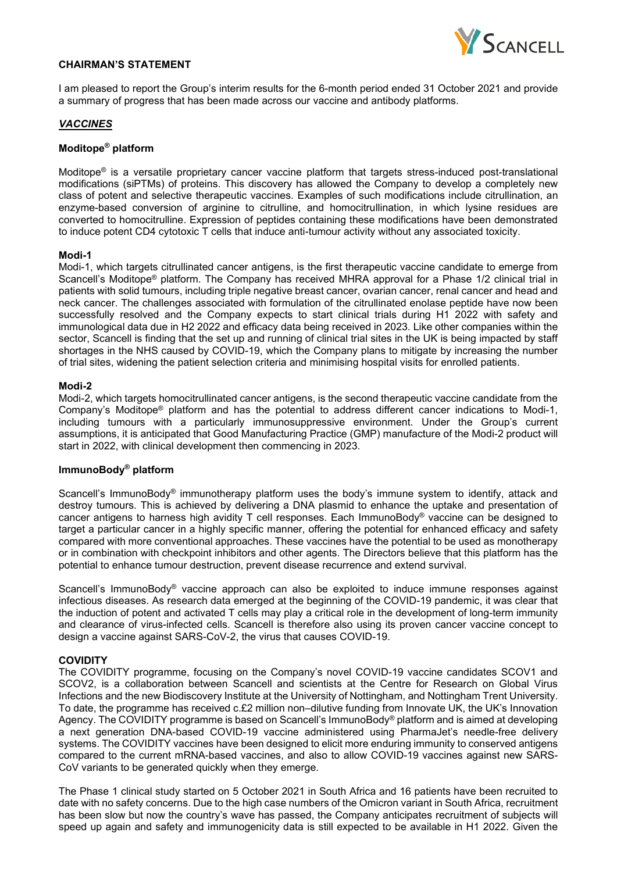

### **CHAIRMAN'S STATEMENT**

I am pleased to report the Group's interim results for the 6-month period ended 31 October 2021 and provide a summary of progress that has been made across our vaccine and antibody platforms.

### *VACCINES*

### **Moditope® platform**

Moditope® is a versatile proprietary cancer vaccine platform that targets stress-induced post-translational modifications (siPTMs) of proteins. This discovery has allowed the Company to develop a completely new class of potent and selective therapeutic vaccines. Examples of such modifications include citrullination, an enzyme-based conversion of arginine to citrulline, and homocitrullination, in which lysine residues are converted to homocitrulline. Expression of peptides containing these modifications have been demonstrated to induce potent CD4 cytotoxic T cells that induce anti-tumour activity without any associated toxicity.

#### **Modi-1**

Modi-1, which targets citrullinated cancer antigens, is the first therapeutic vaccine candidate to emerge from Scancell's Moditope® platform. The Company has received MHRA approval for a Phase 1/2 clinical trial in patients with solid tumours, including triple negative breast cancer, ovarian cancer, renal cancer and head and neck cancer. The challenges associated with formulation of the citrullinated enolase peptide have now been successfully resolved and the Company expects to start clinical trials during H1 2022 with safety and immunological data due in H2 2022 and efficacy data being received in 2023. Like other companies within the sector, Scancell is finding that the set up and running of clinical trial sites in the UK is being impacted by staff shortages in the NHS caused by COVID-19, which the Company plans to mitigate by increasing the number of trial sites, widening the patient selection criteria and minimising hospital visits for enrolled patients.

#### **Modi-2**

Modi-2, which targets homocitrullinated cancer antigens, is the second therapeutic vaccine candidate from the Company's Moditope® platform and has the potential to address different cancer indications to Modi-1, including tumours with a particularly immunosuppressive environment. Under the Group's current assumptions, it is anticipated that Good Manufacturing Practice (GMP) manufacture of the Modi-2 product will start in 2022, with clinical development then commencing in 2023.

### **ImmunoBody® platform**

Scancell's ImmunoBody<sup>®</sup> immunotherapy platform uses the body's immune system to identify, attack and destroy tumours. This is achieved by delivering a DNA plasmid to enhance the uptake and presentation of cancer antigens to harness high avidity T cell responses. Each ImmunoBody® vaccine can be designed to target a particular cancer in a highly specific manner, offering the potential for enhanced efficacy and safety compared with more conventional approaches. These vaccines have the potential to be used as monotherapy or in combination with checkpoint inhibitors and other agents. The Directors believe that this platform has the potential to enhance tumour destruction, prevent disease recurrence and extend survival.

Scancell's ImmunoBody® vaccine approach can also be exploited to induce immune responses against infectious diseases. As research data emerged at the beginning of the COVID-19 pandemic, it was clear that the induction of potent and activated T cells may play a critical role in the development of long-term immunity and clearance of virus-infected cells. Scancell is therefore also using its proven cancer vaccine concept to design a vaccine against SARS-CoV-2, the virus that causes COVID-19.

### **COVIDITY**

The COVIDITY programme, focusing on the Company's novel COVID-19 vaccine candidates SCOV1 and SCOV2, is a collaboration between Scancell and scientists at the Centre for Research on Global Virus Infections and the new Biodiscovery Institute at the University of Nottingham, and Nottingham Trent University. To date, the programme has received c.£2 million non–dilutive funding from Innovate UK, the UK's Innovation Agency. The COVIDITY programme is based on Scancell's ImmunoBody® platform and is aimed at developing a next generation DNA-based COVID-19 vaccine administered using PharmaJet's needle-free delivery systems. The COVIDITY vaccines have been designed to elicit more enduring immunity to conserved antigens compared to the current mRNA-based vaccines, and also to allow COVID-19 vaccines against new SARS-CoV variants to be generated quickly when they emerge.

The Phase 1 clinical study started on 5 October 2021 in South Africa and 16 patients have been recruited to date with no safety concerns. Due to the high case numbers of the Omicron variant in South Africa, recruitment has been slow but now the country's wave has passed, the Company anticipates recruitment of subjects will speed up again and safety and immunogenicity data is still expected to be available in H1 2022. Given the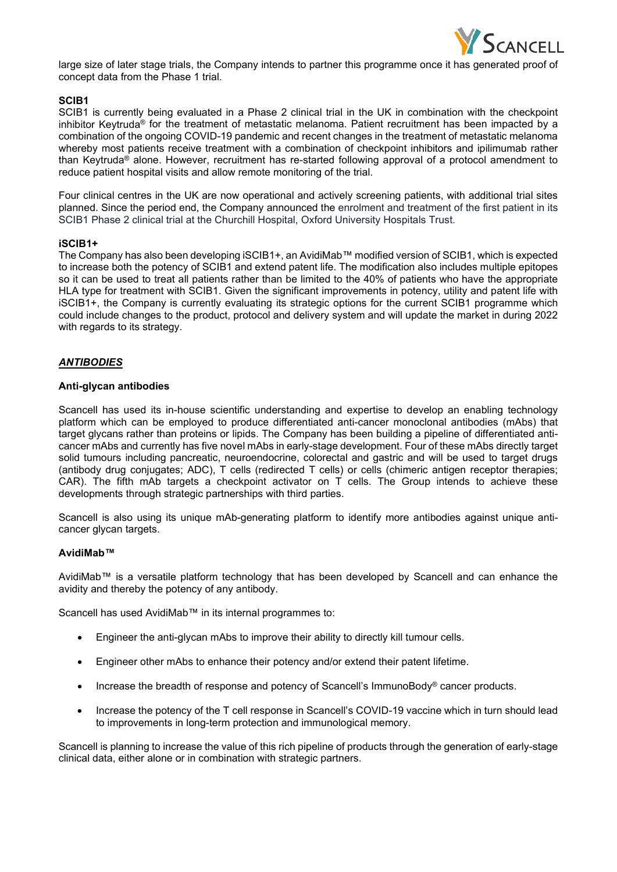

large size of later stage trials, the Company intends to partner this programme once it has generated proof of concept data from the Phase 1 trial.

## **SCIB1**

SCIB1 is currently being evaluated in a Phase 2 clinical trial in the UK in combination with the checkpoint inhibitor Keytruda® for the treatment of metastatic melanoma. Patient recruitment has been impacted by a combination of the ongoing COVID-19 pandemic and recent changes in the treatment of metastatic melanoma whereby most patients receive treatment with a combination of checkpoint inhibitors and ipilimumab rather than Keytruda® alone. However, recruitment has re-started following approval of a protocol amendment to reduce patient hospital visits and allow remote monitoring of the trial.

Four clinical centres in the UK are now operational and actively screening patients, with additional trial sites planned. Since the period end, the Company announced the enrolment and treatment of the first patient in its SCIB1 Phase 2 clinical trial at the Churchill Hospital, Oxford University Hospitals Trust.

### **iSCIB1+**

The Company has also been developing iSCIB1+, an AvidiMab™ modified version of SCIB1, which is expected to increase both the potency of SCIB1 and extend patent life. The modification also includes multiple epitopes so it can be used to treat all patients rather than be limited to the 40% of patients who have the appropriate HLA type for treatment with SCIB1. Given the significant improvements in potency, utility and patent life with iSCIB1+, the Company is currently evaluating its strategic options for the current SCIB1 programme which could include changes to the product, protocol and delivery system and will update the market in during 2022 with regards to its strategy.

## *ANTIBODIES*

### **Anti-glycan antibodies**

Scancell has used its in-house scientific understanding and expertise to develop an enabling technology platform which can be employed to produce differentiated anti-cancer monoclonal antibodies (mAbs) that target glycans rather than proteins or lipids. The Company has been building a pipeline of differentiated anticancer mAbs and currently has five novel mAbs in early-stage development. Four of these mAbs directly target solid tumours including pancreatic, neuroendocrine, colorectal and gastric and will be used to target drugs (antibody drug conjugates; ADC), T cells (redirected T cells) or cells (chimeric antigen receptor therapies; CAR). The fifth mAb targets a checkpoint activator on T cells. The Group intends to achieve these developments through strategic partnerships with third parties.

Scancell is also using its unique mAb-generating platform to identify more antibodies against unique anticancer glycan targets.

### **AvidiMab™**

AvidiMab™ is a versatile platform technology that has been developed by Scancell and can enhance the avidity and thereby the potency of any antibody.

Scancell has used AvidiMab™ in its internal programmes to:

- Engineer the anti-glycan mAbs to improve their ability to directly kill tumour cells.
- Engineer other mAbs to enhance their potency and/or extend their patent lifetime.
- Increase the breadth of response and potency of Scancell's ImmunoBody<sup>®</sup> cancer products.
- Increase the potency of the T cell response in Scancell's COVID-19 vaccine which in turn should lead to improvements in long-term protection and immunological memory.

Scancell is planning to increase the value of this rich pipeline of products through the generation of early-stage clinical data, either alone or in combination with strategic partners.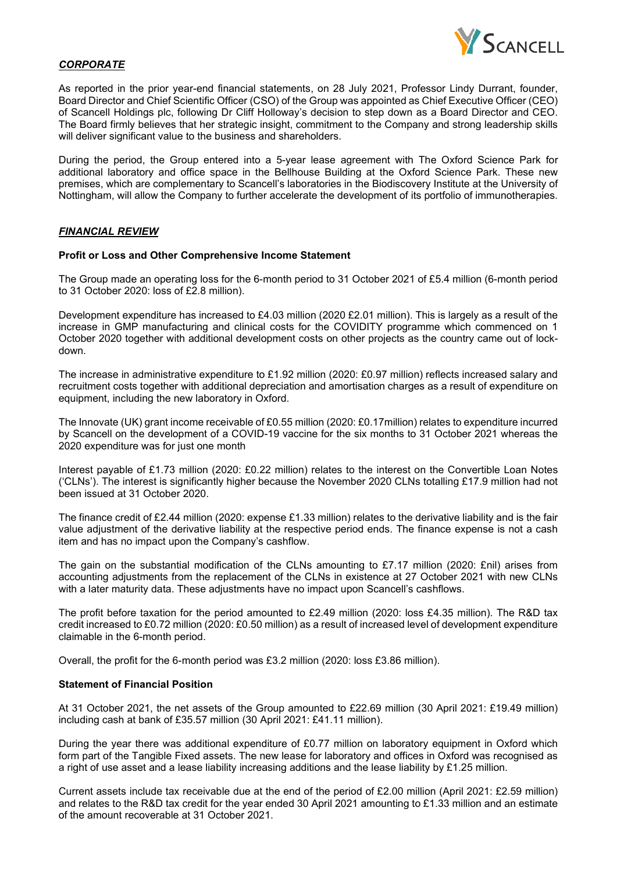

# *CORPORATE*

As reported in the prior year-end financial statements, on 28 July 2021, Professor Lindy Durrant, founder, Board Director and Chief Scientific Officer (CSO) of the Group was appointed as Chief Executive Officer (CEO) of Scancell Holdings plc, following Dr Cliff Holloway's decision to step down as a Board Director and CEO. The Board firmly believes that her strategic insight, commitment to the Company and strong leadership skills will deliver significant value to the business and shareholders.

During the period, the Group entered into a 5-year lease agreement with The Oxford Science Park for additional laboratory and office space in the Bellhouse Building at the Oxford Science Park. These new premises, which are complementary to Scancell's laboratories in the Biodiscovery Institute at the University of Nottingham, will allow the Company to further accelerate the development of its portfolio of immunotherapies.

### *FINANCIAL REVIEW*

#### **Profit or Loss and Other Comprehensive Income Statement**

The Group made an operating loss for the 6-month period to 31 October 2021 of £5.4 million (6-month period to 31 October 2020: loss of £2.8 million).

Development expenditure has increased to £4.03 million (2020 £2.01 million). This is largely as a result of the increase in GMP manufacturing and clinical costs for the COVIDITY programme which commenced on 1 October 2020 together with additional development costs on other projects as the country came out of lockdown.

The increase in administrative expenditure to £1.92 million (2020: £0.97 million) reflects increased salary and recruitment costs together with additional depreciation and amortisation charges as a result of expenditure on equipment, including the new laboratory in Oxford.

The Innovate (UK) grant income receivable of £0.55 million (2020: £0.17million) relates to expenditure incurred by Scancell on the development of a COVID-19 vaccine for the six months to 31 October 2021 whereas the 2020 expenditure was for just one month

Interest payable of £1.73 million (2020: £0.22 million) relates to the interest on the Convertible Loan Notes ('CLNs'). The interest is significantly higher because the November 2020 CLNs totalling £17.9 million had not been issued at 31 October 2020.

The finance credit of £2.44 million (2020: expense £1.33 million) relates to the derivative liability and is the fair value adjustment of the derivative liability at the respective period ends. The finance expense is not a cash item and has no impact upon the Company's cashflow.

The gain on the substantial modification of the CLNs amounting to £7.17 million (2020: £nil) arises from accounting adjustments from the replacement of the CLNs in existence at 27 October 2021 with new CLNs with a later maturity data. These adjustments have no impact upon Scancell's cashflows.

The profit before taxation for the period amounted to £2.49 million (2020: loss £4.35 million). The R&D tax credit increased to £0.72 million (2020: £0.50 million) as a result of increased level of development expenditure claimable in the 6-month period.

Overall, the profit for the 6-month period was £3.2 million (2020: loss £3.86 million).

### **Statement of Financial Position**

At 31 October 2021, the net assets of the Group amounted to £22.69 million (30 April 2021: £19.49 million) including cash at bank of £35.57 million (30 April 2021: £41.11 million).

During the year there was additional expenditure of £0.77 million on laboratory equipment in Oxford which form part of the Tangible Fixed assets. The new lease for laboratory and offices in Oxford was recognised as a right of use asset and a lease liability increasing additions and the lease liability by £1.25 million.

Current assets include tax receivable due at the end of the period of £2.00 million (April 2021: £2.59 million) and relates to the R&D tax credit for the year ended 30 April 2021 amounting to £1.33 million and an estimate of the amount recoverable at 31 October 2021.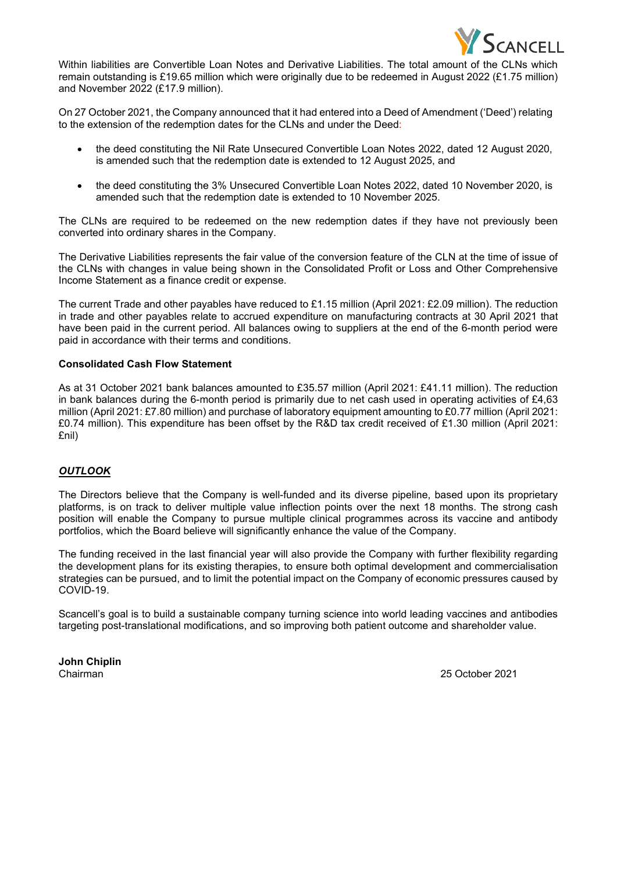

Within liabilities are Convertible Loan Notes and Derivative Liabilities. The total amount of the CLNs which remain outstanding is £19.65 million which were originally due to be redeemed in August 2022 (£1.75 million) and November 2022 (£17.9 million).

On 27 October 2021, the Company announced that it had entered into a Deed of Amendment ('Deed') relating to the extension of the redemption dates for the CLNs and under the Deed:

- the deed constituting the Nil Rate Unsecured Convertible Loan Notes 2022, dated 12 August 2020, is amended such that the redemption date is extended to 12 August 2025, and
- the deed constituting the 3% Unsecured Convertible Loan Notes 2022, dated 10 November 2020, is amended such that the redemption date is extended to 10 November 2025.

The CLNs are required to be redeemed on the new redemption dates if they have not previously been converted into ordinary shares in the Company.

The Derivative Liabilities represents the fair value of the conversion feature of the CLN at the time of issue of the CLNs with changes in value being shown in the Consolidated Profit or Loss and Other Comprehensive Income Statement as a finance credit or expense.

The current Trade and other payables have reduced to £1.15 million (April 2021: £2.09 million). The reduction in trade and other payables relate to accrued expenditure on manufacturing contracts at 30 April 2021 that have been paid in the current period. All balances owing to suppliers at the end of the 6-month period were paid in accordance with their terms and conditions.

### **Consolidated Cash Flow Statement**

As at 31 October 2021 bank balances amounted to £35.57 million (April 2021: £41.11 million). The reduction in bank balances during the 6-month period is primarily due to net cash used in operating activities of £4,63 million (April 2021: £7.80 million) and purchase of laboratory equipment amounting to £0.77 million (April 2021: £0.74 million). This expenditure has been offset by the R&D tax credit received of £1.30 million (April 2021: £nil)

# *OUTLOOK*

The Directors believe that the Company is well-funded and its diverse pipeline, based upon its proprietary platforms, is on track to deliver multiple value inflection points over the next 18 months. The strong cash position will enable the Company to pursue multiple clinical programmes across its vaccine and antibody portfolios, which the Board believe will significantly enhance the value of the Company.

The funding received in the last financial year will also provide the Company with further flexibility regarding the development plans for its existing therapies, to ensure both optimal development and commercialisation strategies can be pursued, and to limit the potential impact on the Company of economic pressures caused by COVID-19.

Scancell's goal is to build a sustainable company turning science into world leading vaccines and antibodies targeting post-translational modifications, and so improving both patient outcome and shareholder value.

**John Chiplin**

25 October 2021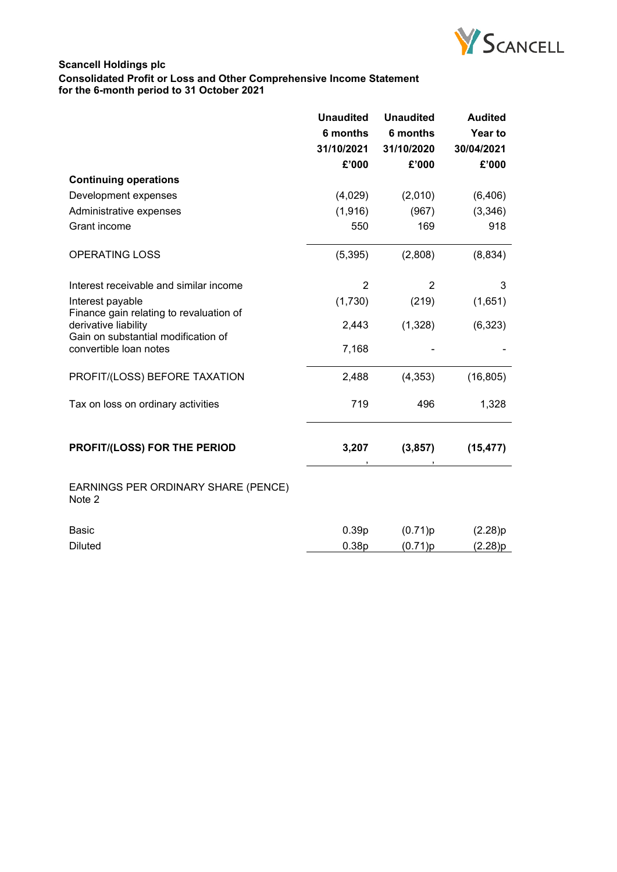

# **Scancell Holdings plc Consolidated Profit or Loss and Other Comprehensive Income Statement for the 6-month period to 31 October 2021**

|                                                                                                                                  | <b>Unaudited</b>  | <b>Unaudited</b> | <b>Audited</b> |
|----------------------------------------------------------------------------------------------------------------------------------|-------------------|------------------|----------------|
|                                                                                                                                  | 6 months          | 6 months         | Year to        |
|                                                                                                                                  | 31/10/2021        | 31/10/2020       | 30/04/2021     |
|                                                                                                                                  | £'000             | £'000            | £'000          |
| <b>Continuing operations</b>                                                                                                     |                   |                  |                |
| Development expenses                                                                                                             | (4,029)           | (2,010)          | (6, 406)       |
| Administrative expenses                                                                                                          | (1, 916)          | (967)            | (3,346)        |
| Grant income                                                                                                                     | 550               | 169              | 918            |
| <b>OPERATING LOSS</b>                                                                                                            | (5, 395)          | (2,808)          | (8, 834)       |
| Interest receivable and similar income                                                                                           | 2                 | 2                | 3              |
| Interest payable                                                                                                                 | (1,730)           | (219)            | (1,651)        |
| Finance gain relating to revaluation of<br>derivative liability<br>Gain on substantial modification of<br>convertible loan notes | 2,443             | (1,328)          | (6, 323)       |
|                                                                                                                                  | 7,168             |                  |                |
| PROFIT/(LOSS) BEFORE TAXATION                                                                                                    | 2,488             | (4, 353)         | (16, 805)      |
| Tax on loss on ordinary activities                                                                                               | 719               | 496              | 1,328          |
| PROFIT/(LOSS) FOR THE PERIOD                                                                                                     | 3,207             | (3, 857)         | (15, 477)      |
| EARNINGS PER ORDINARY SHARE (PENCE)<br>Note 2                                                                                    |                   |                  |                |
| Basic                                                                                                                            | 0.39 <sub>p</sub> | (0.71)p          | (2.28)p        |
| <b>Diluted</b>                                                                                                                   | 0.38p             | (0.71)p          | (2.28)p        |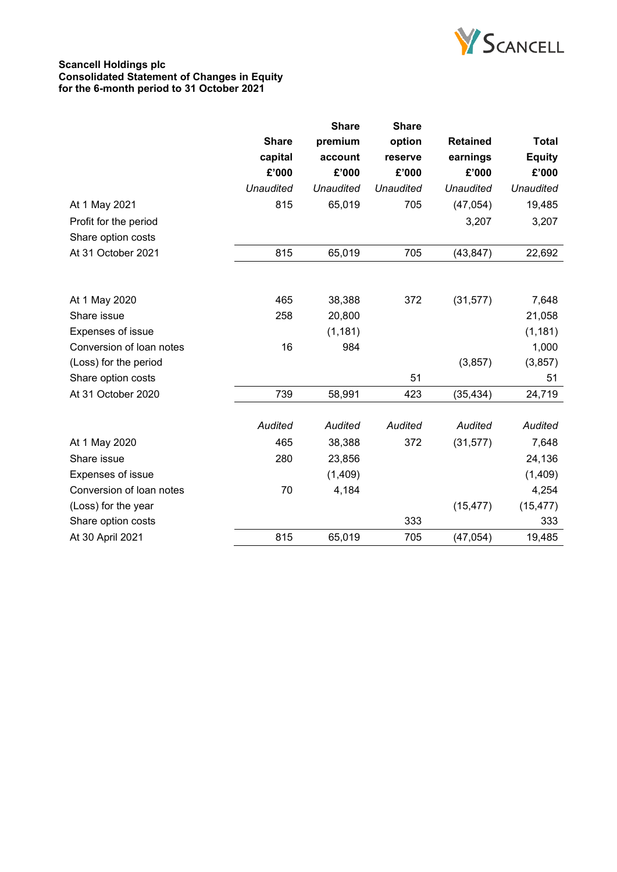

### **Scancell Holdings plc Consolidated Statement of Changes in Equity for the 6-month period to 31 October 2021**

|                          |                  | Share            | <b>Share</b>     |                  |                  |
|--------------------------|------------------|------------------|------------------|------------------|------------------|
|                          | <b>Share</b>     | premium          | option           | <b>Retained</b>  | <b>Total</b>     |
|                          | capital          | account          | reserve          | earnings         | <b>Equity</b>    |
|                          | £'000            | £'000            | £'000            | £'000            | £'000            |
|                          | <b>Unaudited</b> | <b>Unaudited</b> | <b>Unaudited</b> | <b>Unaudited</b> | <b>Unaudited</b> |
| At 1 May 2021            | 815              | 65,019           | 705              | (47, 054)        | 19,485           |
| Profit for the period    |                  |                  |                  | 3,207            | 3,207            |
| Share option costs       |                  |                  |                  |                  |                  |
| At 31 October 2021       | 815              | 65,019           | 705              | (43, 847)        | 22,692           |
|                          |                  |                  |                  |                  |                  |
| At 1 May 2020            | 465              | 38,388           | 372              | (31, 577)        | 7,648            |
| Share issue              | 258              | 20,800           |                  |                  | 21,058           |
| Expenses of issue        |                  | (1, 181)         |                  |                  | (1, 181)         |
| Conversion of loan notes | 16               | 984              |                  |                  | 1,000            |
| (Loss) for the period    |                  |                  |                  | (3, 857)         | (3,857)          |
| Share option costs       |                  |                  | 51               |                  | 51               |
| At 31 October 2020       | 739              | 58,991           | 423              | (35, 434)        | 24,719           |
|                          | <b>Audited</b>   | <b>Audited</b>   | Audited          | <b>Audited</b>   | Audited          |
| At 1 May 2020            | 465              | 38,388           | 372              | (31, 577)        | 7,648            |
| Share issue              | 280              | 23,856           |                  |                  | 24,136           |
| Expenses of issue        |                  | (1,409)          |                  |                  | (1,409)          |
| Conversion of loan notes | 70               | 4,184            |                  |                  | 4,254            |
| (Loss) for the year      |                  |                  |                  | (15, 477)        | (15, 477)        |
| Share option costs       |                  |                  | 333              |                  | 333              |
| At 30 April 2021         | 815              | 65,019           | 705              | (47, 054)        | 19,485           |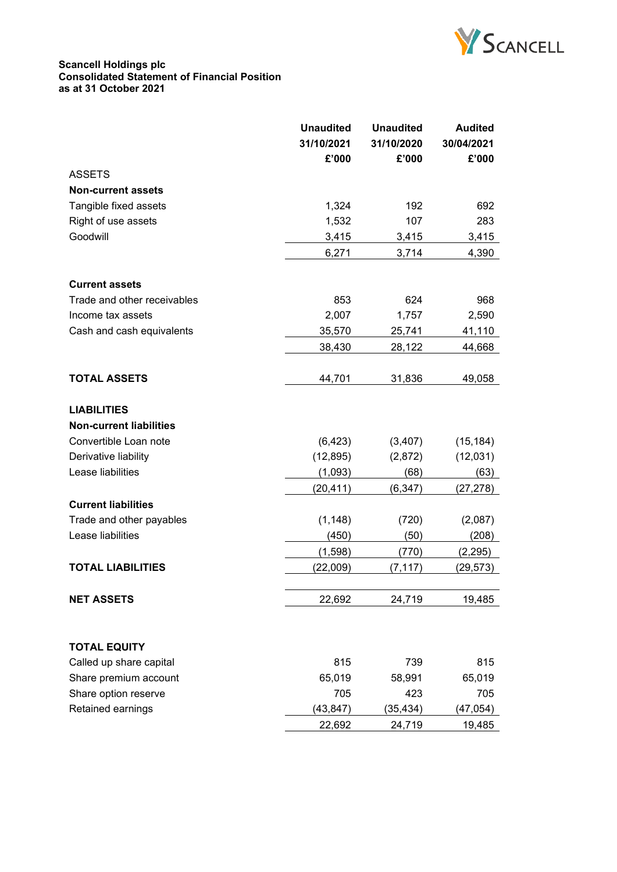

### **Scancell Holdings plc Consolidated Statement of Financial Position as at 31 October 2021**

|                                | <b>Unaudited</b> | <b>Unaudited</b> | <b>Audited</b> |
|--------------------------------|------------------|------------------|----------------|
|                                | 31/10/2021       | 31/10/2020       | 30/04/2021     |
|                                | £'000            | £'000            | £'000          |
| <b>ASSETS</b>                  |                  |                  |                |
| <b>Non-current assets</b>      |                  |                  |                |
| Tangible fixed assets          | 1,324            | 192              | 692            |
| Right of use assets            | 1,532            | 107              | 283            |
| Goodwill                       | 3,415            | 3,415            | 3,415          |
|                                | 6,271            | 3,714            | 4,390          |
|                                |                  |                  |                |
| <b>Current assets</b>          |                  |                  |                |
| Trade and other receivables    | 853              | 624              | 968            |
| Income tax assets              | 2,007            | 1,757            | 2,590          |
| Cash and cash equivalents      | 35,570           | 25,741           | 41,110         |
|                                | 38,430           | 28,122           | 44,668         |
|                                |                  |                  |                |
| <b>TOTAL ASSETS</b>            | 44,701           | 31,836           | 49,058         |
|                                |                  |                  |                |
| <b>LIABILITIES</b>             |                  |                  |                |
| <b>Non-current liabilities</b> |                  |                  |                |
| Convertible Loan note          | (6, 423)         | (3,407)          | (15, 184)      |
| Derivative liability           | (12, 895)        | (2,872)          | (12,031)       |
| Lease liabilities              | (1,093)          | (68)             | (63)           |
|                                | (20, 411)        | (6, 347)         | (27, 278)      |
| <b>Current liabilities</b>     |                  |                  |                |
| Trade and other payables       | (1, 148)         | (720)            | (2,087)        |
| Lease liabilities              | (450)            | (50)             | (208)          |
|                                | (1, 598)         | (770)            | (2, 295)       |
| <b>TOTAL LIABILITIES</b>       | (22,009)         | (7, 117)         | (29, 573)      |
|                                |                  |                  |                |
| <b>NET ASSETS</b>              | 22,692           | 24,719           | 19,485         |
|                                |                  |                  |                |
|                                |                  |                  |                |
| <b>TOTAL EQUITY</b>            |                  |                  |                |
| Called up share capital        | 815              | 739              | 815            |
| Share premium account          | 65,019           | 58,991           | 65,019         |
| Share option reserve           | 705              | 423              | 705            |
| Retained earnings              | (43, 847)        | (35, 434)        | (47, 054)      |
|                                | 22,692           | 24,719           | 19,485         |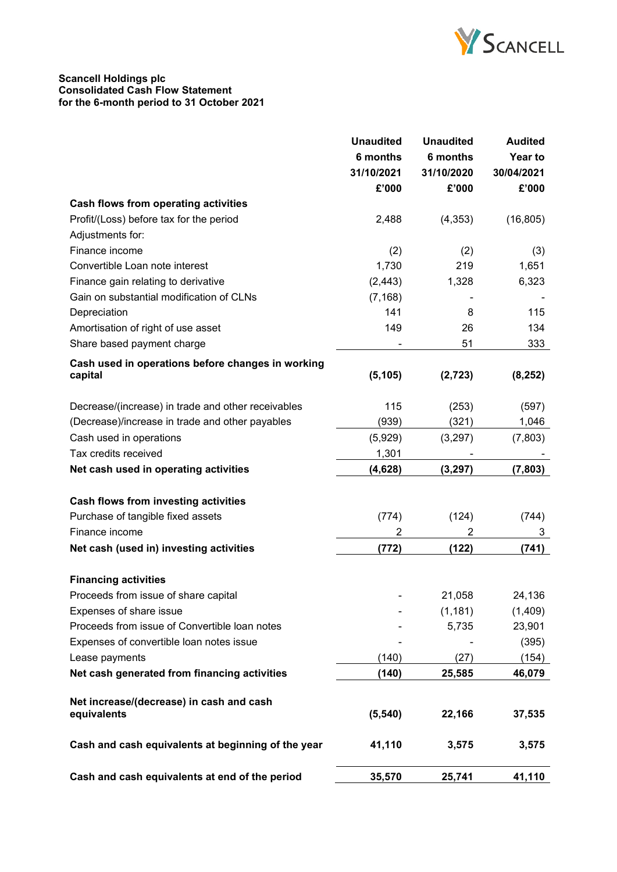

### **Scancell Holdings plc Consolidated Cash Flow Statement for the 6-month period to 31 October 2021**

|                                                         | <b>Unaudited</b> | <b>Unaudited</b> | <b>Audited</b> |
|---------------------------------------------------------|------------------|------------------|----------------|
|                                                         | 6 months         | 6 months         | Year to        |
|                                                         | 31/10/2021       | 31/10/2020       | 30/04/2021     |
|                                                         | £'000            | £'000            | £'000          |
| <b>Cash flows from operating activities</b>             |                  |                  |                |
| Profit/(Loss) before tax for the period                 | 2,488            | (4, 353)         | (16, 805)      |
| Adjustments for:                                        |                  |                  |                |
| Finance income                                          | (2)              | (2)              | (3)            |
| Convertible Loan note interest                          | 1,730            | 219              | 1,651          |
| Finance gain relating to derivative                     | (2, 443)         | 1,328            | 6,323          |
| Gain on substantial modification of CLNs                | (7, 168)         |                  |                |
| Depreciation                                            | 141              | 8                | 115            |
| Amortisation of right of use asset                      | 149              | 26               | 134            |
| Share based payment charge                              |                  | 51               | 333            |
| Cash used in operations before changes in working       |                  |                  |                |
| capital                                                 | (5, 105)         | (2, 723)         | (8, 252)       |
| Decrease/(increase) in trade and other receivables      | 115              | (253)            | (597)          |
| (Decrease)/increase in trade and other payables         | (939)            | (321)            | 1,046          |
| Cash used in operations                                 | (5,929)          | (3,297)          | (7,803)        |
| Tax credits received                                    | 1,301            |                  |                |
| Net cash used in operating activities                   | (4,628)          | (3, 297)         | (7, 803)       |
|                                                         |                  |                  |                |
| Cash flows from investing activities                    |                  |                  |                |
| Purchase of tangible fixed assets                       | (774)            | (124)            | (744)          |
| Finance income                                          | 2                | 2                | 3              |
| Net cash (used in) investing activities                 | (772)            | (122)            | (741)          |
| <b>Financing activities</b>                             |                  |                  |                |
| Proceeds from issue of share capital                    |                  | 21,058           | 24,136         |
| Expenses of share issue                                 |                  | (1, 181)         | (1,409)        |
| Proceeds from issue of Convertible loan notes           |                  | 5,735            | 23,901         |
| Expenses of convertible loan notes issue                |                  |                  | (395)          |
| Lease payments                                          | (140)            | (27)             | (154)          |
| Net cash generated from financing activities            | (140)            | 25,585           | 46,079         |
|                                                         |                  |                  |                |
| Net increase/(decrease) in cash and cash<br>equivalents | (5, 540)         | 22,166           | 37,535         |
| Cash and cash equivalents at beginning of the year      | 41,110           | 3,575            | 3,575          |
| Cash and cash equivalents at end of the period          | 35,570           | 25,741           | 41,110         |